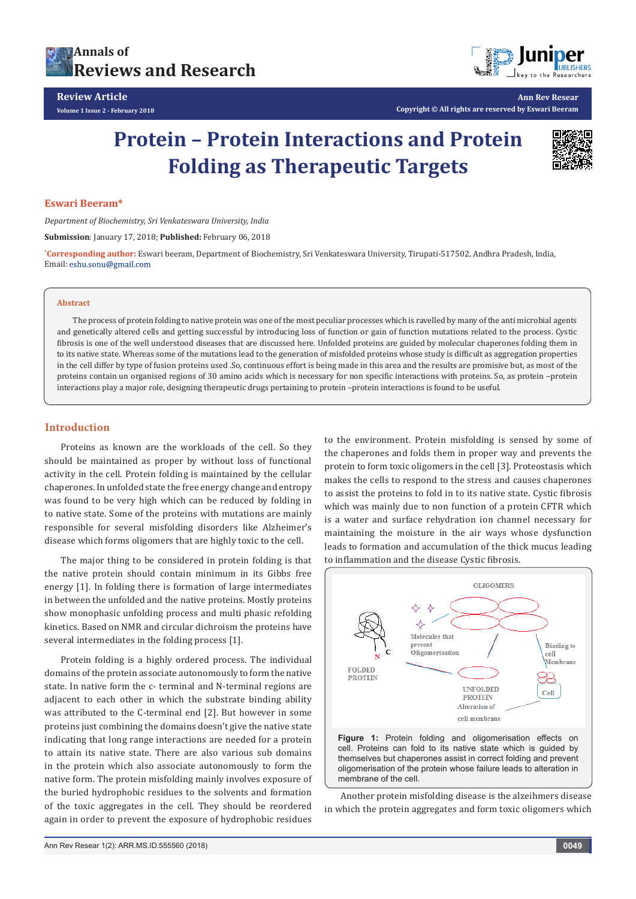



**Ann Rev Resear Copyright © All rights are reserved by Eswari Beeram**

# **Protein – Protein Interactions and Protein Folding as Therapeutic Targets**



## **Eswari Beeram\***

*Department of Biochemistry, Sri Venkateswara University, India*

**Submission**: January 17, 2018; **Published:** February 06, 2018

**\* Corresponding author:** Eswari beeram, Department of Biochemistry, Sri Venkateswara University, Tirupati-517502, Andhra Pradesh, India, Email: eshu.sonu@gmail.com

#### **Abstract**

The process of protein folding to native protein was one of the most peculiar processes which is ravelled by many of the anti microbial agents and genetically altered cells and getting successful by introducing loss of function or gain of function mutations related to the process. Cystic fibrosis is one of the well understood diseases that are discussed here. Unfolded proteins are guided by molecular chaperones folding them in to its native state. Whereas some of the mutations lead to the generation of misfolded proteins whose study is difficult as aggregation properties in the cell differ by type of fusion proteins used .So, continuous effort is being made in this area and the results are promisive but, as most of the proteins contain un organised regions of 30 amino acids which is necessary for non specific interactions with proteins. So, as protein –protein interactions play a major role, designing therapeutic drugs pertaining to protein –protein interactions is found to be useful.

### **Introduction**

Proteins as known are the workloads of the cell. So they should be maintained as proper by without loss of functional activity in the cell. Protein folding is maintained by the cellular chaperones. In unfolded state the free energy change and entropy was found to be very high which can be reduced by folding in to native state. Some of the proteins with mutations are mainly responsible for several misfolding disorders like Alzheimer's disease which forms oligomers that are highly toxic to the cell.

The major thing to be considered in protein folding is that the native protein should contain minimum in its Gibbs free energy [1]. In folding there is formation of large intermediates in between the unfolded and the native proteins. Mostly proteins show monophasic unfolding process and multi phasic refolding kinetics. Based on NMR and circular dichroism the proteins have several intermediates in the folding process [1].

Protein folding is a highly ordered process. The individual domains of the protein associate autonomously to form the native state. In native form the c- terminal and N-terminal regions are adjacent to each other in which the substrate binding ability was attributed to the C-terminal end [2]. But however in some proteins just combining the domains doesn't give the native state indicating that long range interactions are needed for a protein to attain its native state. There are also various sub domains in the protein which also associate autonomously to form the native form. The protein misfolding mainly involves exposure of the buried hydrophobic residues to the solvents and formation of the toxic aggregates in the cell. They should be reordered again in order to prevent the exposure of hydrophobic residues

to the environment. Protein misfolding is sensed by some of the chaperones and folds them in proper way and prevents the protein to form toxic oligomers in the cell [3]. Proteostasis which makes the cells to respond to the stress and causes chaperones to assist the proteins to fold in to its native state. Cystic fibrosis which was mainly due to non function of a protein CFTR which is a water and surface rehydration ion channel necessary for maintaining the moisture in the air ways whose dysfunction leads to formation and accumulation of the thick mucus leading to inflammation and the disease Cystic fibrosis.



oligomerisation of the protein whose failure leads to alteration in membrane of the cell. Another protein misfolding disease is the alzeihmers disease

in which the protein aggregates and form toxic oligomers which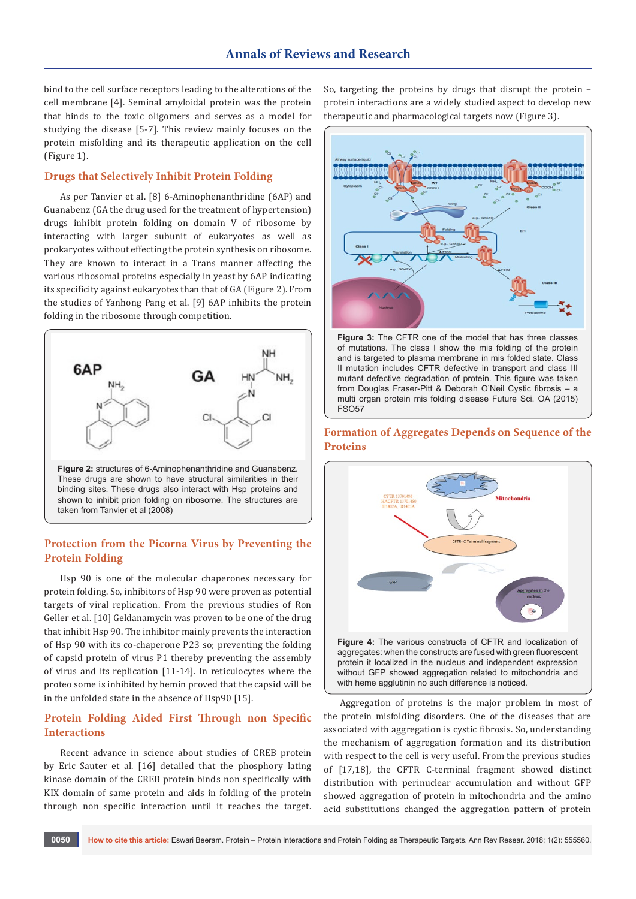bind to the cell surface receptors leading to the alterations of the cell membrane [4]. Seminal amyloidal protein was the protein that binds to the toxic oligomers and serves as a model for studying the disease [5-7]. This review mainly focuses on the protein misfolding and its therapeutic application on the cell (Figure 1).

## **Drugs that Selectively Inhibit Protein Folding**

As per Tanvier et al. [8] 6-Aminophenanthridine (6AP) and Guanabenz (GA the drug used for the treatment of hypertension) drugs inhibit protein folding on domain V of ribosome by interacting with larger subunit of eukaryotes as well as prokaryotes without effecting the protein synthesis on ribosome. They are known to interact in a Trans manner affecting the various ribosomal proteins especially in yeast by 6AP indicating its specificity against eukaryotes than that of GA (Figure 2). From the studies of Yanhong Pang et al. [9] 6AP inhibits the protein folding in the ribosome through competition.



binding sites. These drugs also interact with Hsp proteins and shown to inhibit prion folding on ribosome. The structures are taken from Tanvier et al (2008)

## **Protection from the Picorna Virus by Preventing the Protein Folding**

Hsp 90 is one of the molecular chaperones necessary for protein folding. So, inhibitors of Hsp 90 were proven as potential targets of viral replication. From the previous studies of Ron Geller et al. [10] Geldanamycin was proven to be one of the drug that inhibit Hsp 90. The inhibitor mainly prevents the interaction of Hsp 90 with its co-chaperone P23 so; preventing the folding of capsid protein of virus P1 thereby preventing the assembly of virus and its replication [11-14]. In reticulocytes where the proteo some is inhibited by hemin proved that the capsid will be in the unfolded state in the absence of Hsp90 [15].

## **Protein Folding Aided First Through non Specific Interactions**

Recent advance in science about studies of CREB protein by Eric Sauter et al. [16] detailed that the phosphory lating kinase domain of the CREB protein binds non specifically with KIX domain of same protein and aids in folding of the protein through non specific interaction until it reaches the target. So, targeting the proteins by drugs that disrupt the protein – protein interactions are a widely studied aspect to develop new therapeutic and pharmacological targets now (Figure 3).



**Figure 3:** The CFTR one of the model that has three classes of mutations. The class I show the mis folding of the protein and is targeted to plasma membrane in mis folded state. Class II mutation includes CFTR defective in transport and class III mutant defective degradation of protein. This figure was taken from Douglas Fraser-Pitt & Deborah O'Neil Cystic fibrosis – a multi organ protein mis folding disease Future Sci. OA (2015) FSO57



Aggregation of proteins is the major problem in most of the protein misfolding disorders. One of the diseases that are associated with aggregation is cystic fibrosis. So, understanding the mechanism of aggregation formation and its distribution with respect to the cell is very useful. From the previous studies of [17,18], the CFTR C-terminal fragment showed distinct distribution with perinuclear accumulation and without GFP showed aggregation of protein in mitochondria and the amino acid substitutions changed the aggregation pattern of protein

## **Formation of Aggregates Depends on Sequence of the Proteins**